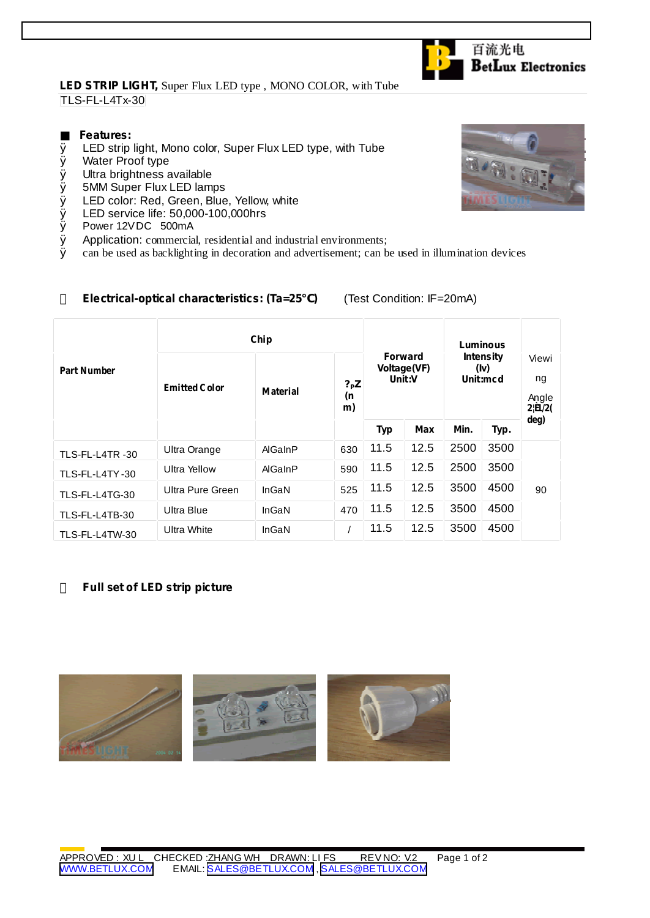## **LED STRIP LIGHT,** Super Flux LED type , MONO COLOR, with Tube TLS-FL-L4Tx-30

## **Features:**

- Ø LED strip light, Mono color, Super Flux LED type, with Tube
- Ø Water Proof type
- Ø Ultra brightness available
- Ø 5MM Super Flux LED lamps
- Ø LED color: Red, Green, Blue, Yellow, white
- **Ø** LED service life: 50,000-100,000hrs<br>**Ø** Power 12VDC 500mA
- Ø Power 12VDC 500mA
- $\emptyset$  Application: commercial, residential and industrial environments;<br> $\emptyset$  can be used as backlighting in decoration and advertisement: can b
- Ø can be used as backlighting in decoration and advertisement; can be used in illumination devices

**Electrical-optical characteristics: (Ta=25 )** (Test Condition: IF=20mA)

| <b>Part Number</b> | Chip                 |                 |                       |                                         |      | Luminous                             |      |                                        |
|--------------------|----------------------|-----------------|-----------------------|-----------------------------------------|------|--------------------------------------|------|----------------------------------------|
|                    | <b>Emitted Color</b> | <b>Material</b> | $?$ P $Z$<br>(n<br>m) | <b>Forward</b><br>Voltage(VF)<br>Unit:V |      | <b>Intensity</b><br>(iv)<br>Unit:mcd |      | Viewi<br>ng<br>Angle<br>$2 {\bf B}/2($ |
|                    |                      |                 |                       | <b>Typ</b>                              | Max  | Min.                                 | Typ. | deg)                                   |
| TLS-FL-L4TR-30     | Ultra Orange         | AlGaInP         | 630                   | 11.5                                    | 12.5 | 2500                                 | 3500 |                                        |
| TLS-FL-L4TY-30     | Ultra Yellow         | AlGaInP         | 590                   | 11.5                                    | 12.5 | 2500                                 | 3500 |                                        |
| TLS-FL-L4TG-30     | Ultra Pure Green     | InGaN           | 525                   | 11.5                                    | 12.5 | 3500                                 | 4500 | 90                                     |
| TLS-FL-L4TB-30     | Ultra Blue           | InGaN           | 470                   | 11.5                                    | 12.5 | 3500                                 | 4500 |                                        |
| TLS-FL-L4TW-30     | <b>Ultra White</b>   | InGaN           |                       | 11.5                                    | 12.5 | 3500                                 | 4500 |                                        |

## **Full set of LED strip picture**